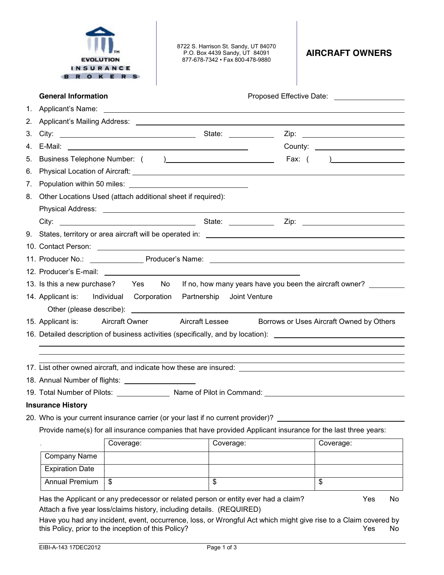|    | <b>EVOLUTION</b><br><b>INSURANCE</b>                                                                          | <b>ROKERS</b> | 8722 S. Harrison St. Sandy, UT 84070<br>P.O. Box 4439 Sandy, UT 84091<br>877-678-7342 · Fax 800-478-9880 | <b>AIRCRAFT OWNERS</b>                                  |  |  |  |
|----|---------------------------------------------------------------------------------------------------------------|---------------|----------------------------------------------------------------------------------------------------------|---------------------------------------------------------|--|--|--|
|    | <b>General Information</b>                                                                                    |               |                                                                                                          | Proposed Effective Date: __________________             |  |  |  |
|    |                                                                                                               |               |                                                                                                          |                                                         |  |  |  |
|    |                                                                                                               |               |                                                                                                          |                                                         |  |  |  |
| 3. |                                                                                                               |               |                                                                                                          |                                                         |  |  |  |
|    |                                                                                                               |               |                                                                                                          |                                                         |  |  |  |
| 5. |                                                                                                               |               |                                                                                                          |                                                         |  |  |  |
| 6. |                                                                                                               |               |                                                                                                          |                                                         |  |  |  |
|    |                                                                                                               |               |                                                                                                          |                                                         |  |  |  |
|    |                                                                                                               |               | 8. Other Locations Used (attach additional sheet if required):                                           |                                                         |  |  |  |
|    |                                                                                                               |               |                                                                                                          |                                                         |  |  |  |
|    |                                                                                                               |               |                                                                                                          |                                                         |  |  |  |
|    |                                                                                                               |               |                                                                                                          |                                                         |  |  |  |
|    |                                                                                                               |               |                                                                                                          |                                                         |  |  |  |
|    |                                                                                                               |               |                                                                                                          |                                                         |  |  |  |
|    |                                                                                                               |               |                                                                                                          |                                                         |  |  |  |
|    | 13. Is this a new purchase? Yes No                                                                            |               |                                                                                                          | If no, how many years have you been the aircraft owner? |  |  |  |
|    | 14. Applicant is: Individual Corporation                                                                      |               | Joint Venture<br>Partnership                                                                             |                                                         |  |  |  |
|    | 15. Applicant is: Aircraft Owner Aircraft Lessee<br>Borrows or Uses Aircraft Owned by Others                  |               |                                                                                                          |                                                         |  |  |  |
|    | 16. Detailed description of business activities (specifically, and by location): ____________________________ |               |                                                                                                          |                                                         |  |  |  |
|    |                                                                                                               |               |                                                                                                          |                                                         |  |  |  |
|    |                                                                                                               |               |                                                                                                          |                                                         |  |  |  |
|    |                                                                                                               |               |                                                                                                          |                                                         |  |  |  |
|    | 18. Annual Number of flights: _______________________                                                         |               |                                                                                                          |                                                         |  |  |  |
|    |                                                                                                               |               | 19. Total Number of Pilots: _________________ Name of Pilot in Command: ____________________________     |                                                         |  |  |  |
|    | <b>Insurance History</b>                                                                                      |               |                                                                                                          |                                                         |  |  |  |
|    |                                                                                                               |               | 20. Who is your current insurance carrier (or your last if no current provider)? ___________________     |                                                         |  |  |  |
|    | Provide name(s) for all insurance companies that have provided Applicant insurance for the last three years:  |               |                                                                                                          |                                                         |  |  |  |
|    |                                                                                                               | Coverage:     | Coverage:                                                                                                | Coverage:                                               |  |  |  |
|    | Company Name                                                                                                  |               |                                                                                                          |                                                         |  |  |  |
|    | <b>Expiration Date</b>                                                                                        |               |                                                                                                          |                                                         |  |  |  |
|    |                                                                                                               |               |                                                                                                          |                                                         |  |  |  |

Have you had any incident, event, occurrence, loss, or Wrongful Act which might give rise to a Claim covered by this Policy, prior to the inception of this Policy? Yes No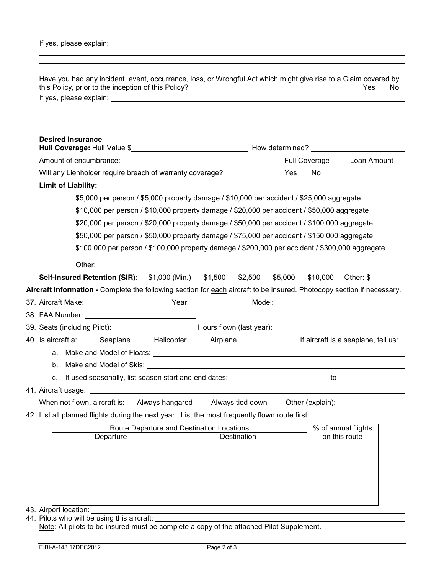| <b>Desired Insurance</b>                                                                                                                                                    |                                           |                  |     |                  |                                     |
|-----------------------------------------------------------------------------------------------------------------------------------------------------------------------------|-------------------------------------------|------------------|-----|------------------|-------------------------------------|
|                                                                                                                                                                             |                                           |                  |     |                  | Full Coverage Loan Amount           |
| Will any Lienholder require breach of warranty coverage?                                                                                                                    |                                           |                  | Yes | <b>No</b>        |                                     |
| <b>Limit of Liability:</b>                                                                                                                                                  |                                           |                  |     |                  |                                     |
| \$5,000 per person / \$5,000 property damage / \$10,000 per accident / \$25,000 aggregate                                                                                   |                                           |                  |     |                  |                                     |
| \$10,000 per person / \$10,000 property damage / \$20,000 per accident / \$50,000 aggregate                                                                                 |                                           |                  |     |                  |                                     |
| \$20,000 per person / \$20,000 property damage / \$50,000 per accident / \$100,000 aggregate                                                                                |                                           |                  |     |                  |                                     |
| \$50,000 per person / \$50,000 property damage / \$75,000 per accident / \$150,000 aggregate                                                                                |                                           |                  |     |                  |                                     |
| \$100,000 per person / \$100,000 property damage / \$200,000 per accident / \$300,000 aggregate                                                                             |                                           |                  |     |                  |                                     |
|                                                                                                                                                                             |                                           |                  |     |                  |                                     |
|                                                                                                                                                                             |                                           |                  |     |                  |                                     |
|                                                                                                                                                                             |                                           |                  |     |                  |                                     |
| <b>Self-Insured Retention (SIR):</b> \$1,000 (Min.) \$1,500 \$2,500 \$5,000 \$10,000 Other: \$                                                                              |                                           |                  |     |                  |                                     |
|                                                                                                                                                                             |                                           |                  |     |                  |                                     |
| Aircraft Information - Complete the following section for each aircraft to be insured. Photocopy section if necessary.<br>38. FAA Number: _________________________________ |                                           |                  |     |                  |                                     |
| 39. Seats (including Pilot): _______________________________Hours flown (last year): _______________________________                                                        |                                           |                  |     |                  |                                     |
|                                                                                                                                                                             |                                           |                  |     |                  | If aircraft is a seaplane, tell us: |
|                                                                                                                                                                             |                                           |                  |     |                  |                                     |
|                                                                                                                                                                             |                                           |                  |     |                  |                                     |
|                                                                                                                                                                             |                                           |                  |     |                  |                                     |
| 40. Is aircraft a: Seaplane Helicopter Airplane<br>41. Aircraft usage:                                                                                                      |                                           |                  |     |                  |                                     |
| When not flown, aircraft is:                                                                                                                                                | Always hangared                           | Always tied down |     | Other (explain): |                                     |
|                                                                                                                                                                             |                                           |                  |     |                  |                                     |
|                                                                                                                                                                             | Route Departure and Destination Locations |                  |     |                  | % of annual flights                 |
| Departure                                                                                                                                                                   |                                           | Destination      |     |                  | on this route                       |
| 42. List all planned flights during the next year. List the most frequently flown route first.                                                                              |                                           |                  |     |                  |                                     |
|                                                                                                                                                                             |                                           |                  |     |                  |                                     |
|                                                                                                                                                                             |                                           |                  |     |                  |                                     |

- 43. Airport location: \_\_\_\_\_\_\_
- 44. Pilots who will be using this aircraft: Note: All pilots to be insured must be complete a copy of the attached Pilot Supplement.